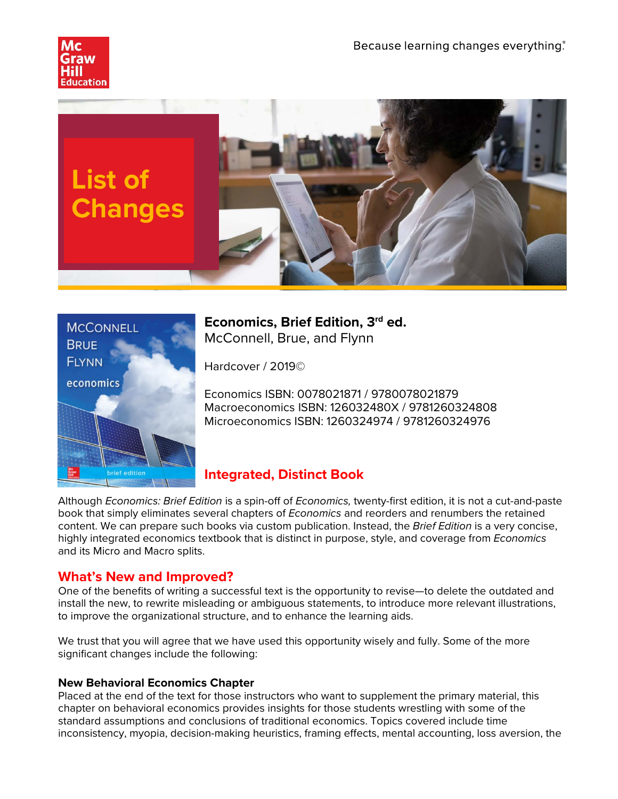





**Economics, Brief Edition, 3rd ed.** McConnell, Brue, and Flynn

Hardcover / 2019©

Economics ISBN: 0078021871 / 9780078021879 Macroeconomics ISBN: 126032480X / 9781260324808 Microeconomics ISBN: 1260324974 / 9781260324976

# **Integrated, Distinct Book**

Although *Economics: Brief Edition* is a spin-off of *Economics,* twenty-first edition, it is not a cut-and-paste book that simply eliminates several chapters of *Economics* and reorders and renumbers the retained content. We can prepare such books via custom publication. Instead, the *Brief Edition* is a very concise, highly integrated economics textbook that is distinct in purpose, style, and coverage from *Economics*  and its Micro and Macro splits.

## **What's New and Improved?**

One of the benefits of writing a successful text is the opportunity to revise—to delete the outdated and install the new, to rewrite misleading or ambiguous statements, to introduce more relevant illustrations, to improve the organizational structure, and to enhance the learning aids.

We trust that you will agree that we have used this opportunity wisely and fully. Some of the more significant changes include the following:

## **New Behavioral Economics Chapter**

Placed at the end of the text for those instructors who want to supplement the primary material, this chapter on behavioral economics provides insights for those students wrestling with some of the standard assumptions and conclusions of traditional economics. Topics covered include time inconsistency, myopia, decision-making heuristics, framing effects, mental accounting, loss aversion, the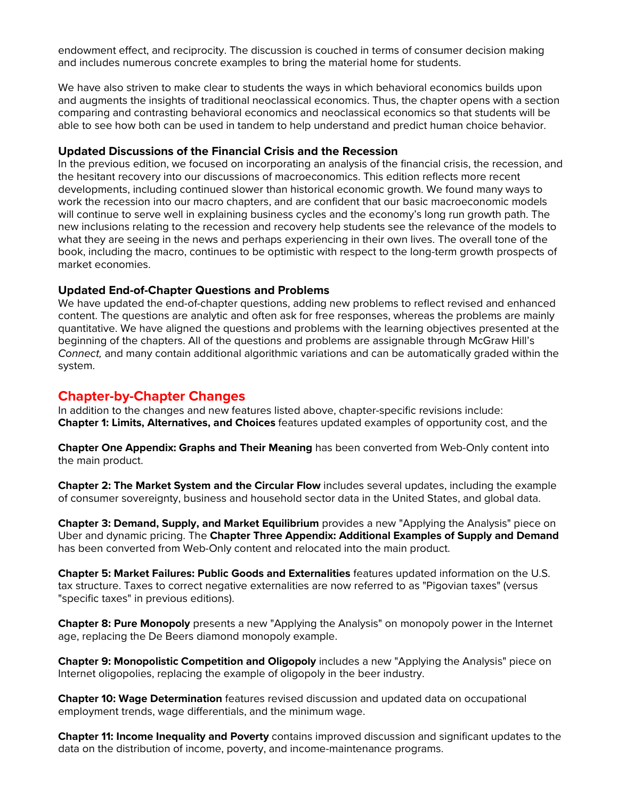endowment effect, and reciprocity. The discussion is couched in terms of consumer decision making and includes numerous concrete examples to bring the material home for students.

We have also striven to make clear to students the ways in which behavioral economics builds upon and augments the insights of traditional neoclassical economics. Thus, the chapter opens with a section comparing and contrasting behavioral economics and neoclassical economics so that students will be able to see how both can be used in tandem to help understand and predict human choice behavior.

#### **Updated Discussions of the Financial Crisis and the Recession**

In the previous edition, we focused on incorporating an analysis of the financial crisis, the recession, and the hesitant recovery into our discussions of macroeconomics. This edition reflects more recent developments, including continued slower than historical economic growth. We found many ways to work the recession into our macro chapters, and are confident that our basic macroeconomic models will continue to serve well in explaining business cycles and the economy's long run growth path. The new inclusions relating to the recession and recovery help students see the relevance of the models to what they are seeing in the news and perhaps experiencing in their own lives. The overall tone of the book, including the macro, continues to be optimistic with respect to the long-term growth prospects of market economies.

#### **Updated End-of-Chapter Questions and Problems**

We have updated the end-of-chapter questions, adding new problems to reflect revised and enhanced content. The questions are analytic and often ask for free responses, whereas the problems are mainly quantitative. We have aligned the questions and problems with the learning objectives presented at the beginning of the chapters. All of the questions and problems are assignable through McGraw Hill's *Connect,* and many contain additional algorithmic variations and can be automatically graded within the system.

### **Chapter-by-Chapter Changes**

In addition to the changes and new features listed above, chapter-specific revisions include: **Chapter 1: Limits, Alternatives, and Choices** features updated examples of opportunity cost, and the

**Chapter One Appendix: Graphs and Their Meaning** has been converted from Web-Only content into the main product.

**Chapter 2: The Market System and the Circular Flow** includes several updates, including the example of consumer sovereignty, business and household sector data in the United States, and global data.

**Chapter 3: Demand, Supply, and Market Equilibrium** provides a new "Applying the Analysis" piece on Uber and dynamic pricing. The **Chapter Three Appendix: Additional Examples of Supply and Demand**  has been converted from Web-Only content and relocated into the main product.

**Chapter 5: Market Failures: Public Goods and Externalities** features updated information on the U.S. tax structure. Taxes to correct negative externalities are now referred to as "Pigovian taxes" (versus "specific taxes" in previous editions).

**Chapter 8: Pure Monopoly** presents a new "Applying the Analysis" on monopoly power in the Internet age, replacing the De Beers diamond monopoly example.

**Chapter 9: Monopolistic Competition and Oligopoly** includes a new "Applying the Analysis" piece on Internet oligopolies, replacing the example of oligopoly in the beer industry.

**Chapter 10: Wage Determination** features revised discussion and updated data on occupational employment trends, wage differentials, and the minimum wage.

**Chapter 11: Income Inequality and Poverty** contains improved discussion and significant updates to the data on the distribution of income, poverty, and income-maintenance programs.